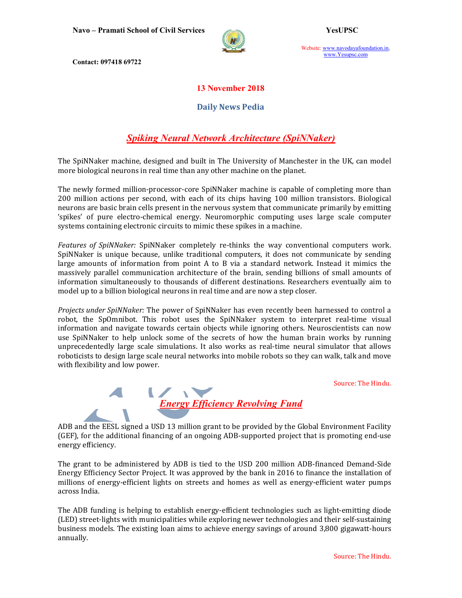Navo – Pramati School of Civil Services YesUPSC



Website: www.navodayafoundation.in, www.Yesupsc.com

Contact: 097418 69722

### 13 November 2018

#### Daily News Pedia

# Spiking Neural Network Architecture (SpiNNaker)

The SpiNNaker machine, designed and built in The University of Manchester in the UK, can model more biological neurons in real time than any other machine on the planet.

The newly formed million-processor-core SpiNNaker machine is capable of completing more than 200 million actions per second, with each of its chips having 100 million transistors. Biological neurons are basic brain cells present in the nervous system that communicate primarily by emitting 'spikes' of pure electro-chemical energy. Neuromorphic computing uses large scale computer systems containing electronic circuits to mimic these spikes in a machine.

Features of SpiNNaker: SpiNNaker completely re-thinks the way conventional computers work. SpiNNaker is unique because, unlike traditional computers, it does not communicate by sending large amounts of information from point A to B via a standard network. Instead it mimics the massively parallel communication architecture of the brain, sending billions of small amounts of information simultaneously to thousands of different destinations. Researchers eventually aim to model up to a billion biological neurons in real time and are now a step closer.

Projects under SpiNNaker: The power of SpiNNaker has even recently been harnessed to control a robot, the SpOmnibot. This robot uses the SpiNNaker system to interpret real-time visual information and navigate towards certain objects while ignoring others. Neuroscientists can now use SpiNNaker to help unlock some of the secrets of how the human brain works by running unprecedentedly large scale simulations. It also works as real-time neural simulator that allows roboticists to design large scale neural networks into mobile robots so they can walk, talk and move with flexibility and low power.

Source: The Hindu.



ADB and the EESL signed a USD 13 million grant to be provided by the Global Environment Facility (GEF), for the additional financing of an ongoing ADB-supported project that is promoting end-use energy efficiency.

The grant to be administered by ADB is tied to the USD 200 million ADB-financed Demand-Side Energy Efficiency Sector Project. It was approved by the bank in 2016 to finance the installation of millions of energy-efficient lights on streets and homes as well as energy-efficient water pumps across India.

The ADB funding is helping to establish energy-efficient technologies such as light-emitting diode (LED) street-lights with municipalities while exploring newer technologies and their self-sustaining business models. The existing loan aims to achieve energy savings of around 3,800 gigawatt-hours annually.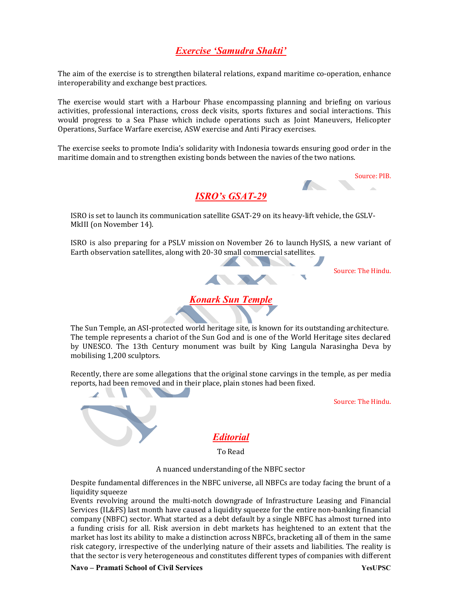## Exercise 'Samudra Shakti'

The aim of the exercise is to strengthen bilateral relations, expand maritime co-operation, enhance interoperability and exchange best practices.

The exercise would start with a Harbour Phase encompassing planning and briefing on various activities, professional interactions, cross deck visits, sports fixtures and social interactions. This would progress to a Sea Phase which include operations such as Joint Maneuvers, Helicopter Operations, Surface Warfare exercise, ASW exercise and Anti Piracy exercises.

The exercise seeks to promote India's solidarity with Indonesia towards ensuring good order in the maritime domain and to strengthen existing bonds between the navies of the two nations.



ISRO's GSAT-29

ISRO is set to launch its communication satellite GSAT-29 on its heavy-lift vehicle, the GSLV-MkIII (on November 14).

ISRO is also preparing for a PSLV mission on November 26 to launch HySIS, a new variant of Earth observation satellites, along with 20-30 small commercial satellites. and the contract of

Source: The Hindu.



The Sun Temple, an ASI-protected world heritage site, is known for its outstanding architecture. The temple represents a chariot of the Sun God and is one of the World Heritage sites declared by UNESCO. The 13th Century monument was built by King Langula Narasingha Deva by mobilising 1,200 sculptors.

Recently, there are some allegations that the original stone carvings in the temple, as per media reports, had been removed and in their place, plain stones had been fixed.

Source: The Hindu.

**Editorial** 

To Read

A nuanced understanding of the NBFC sector

Despite fundamental differences in the NBFC universe, all NBFCs are today facing the brunt of a liquidity squeeze

Events revolving around the multi-notch downgrade of Infrastructure Leasing and Financial Services (IL&FS) last month have caused a liquidity squeeze for the entire non-banking financial company (NBFC) sector. What started as a debt default by a single NBFC has almost turned into a funding crisis for all. Risk aversion in debt markets has heightened to an extent that the market has lost its ability to make a distinction across NBFCs, bracketing all of them in the same risk category, irrespective of the underlying nature of their assets and liabilities. The reality is that the sector is very heterogeneous and constitutes different types of companies with different

Navo – Pramati School of Civil Services YesUPSC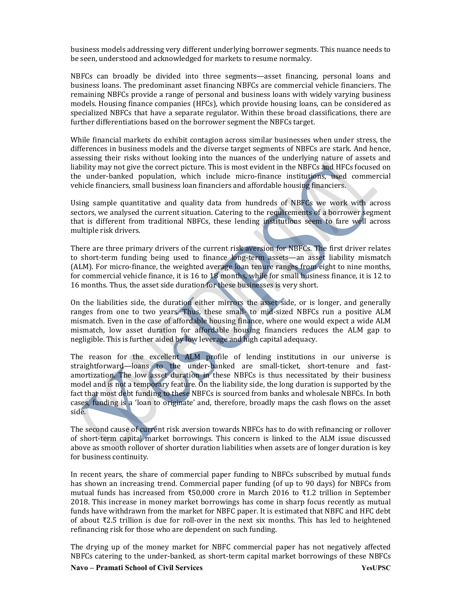business models addressing very different underlying borrower segments. This nuance needs to be seen, understood and acknowledged for markets to resume normalcy.

NBFCs can broadly be divided into three segments—asset financing, personal loans and business loans. The predominant asset financing NBFCs are commercial vehicle financiers. The remaining NBFCs provide a range of personal and business loans with widely varying business models. Housing finance companies (HFCs), which provide housing loans, can be considered as specialized NBFCs that have a separate regulator. Within these broad classifications, there are further differentiations based on the borrower segment the NBFCs target.

While financial markets do exhibit contagion across similar businesses when under stress, the differences in business models and the diverse target segments of NBFCs are stark. And hence, assessing their risks without looking into the nuances of the underlying nature of assets and liability may not give the correct picture. This is most evident in the NBFCs and HFCs focused on the under-banked population, which include micro-finance institutions, used commercial vehicle financiers, small business loan financiers and affordable housing financiers.

Using sample quantitative and quality data from hundreds of NBFCs we work with across sectors, we analysed the current situation. Catering to the requirements of a borrower segment that is different from traditional NBFCs, these lending institutions seem to fare well across multiple risk drivers.

There are three primary drivers of the current risk aversion for NBFCs. The first driver relates to short-term funding being used to finance long-term assets—an asset liability mismatch (ALM). For micro-finance, the weighted average loan tenure ranges from eight to nine months, for commercial vehicle finance, it is 16 to 18 months, while for small business finance, it is 12 to 16 months. Thus, the asset side duration for these businesses is very short.

On the liabilities side, the duration either mirrors the asset side, or is longer, and generally ranges from one to two years. Thus, these small- to mid-sized NBFCs run a positive ALM mismatch. Even in the case of affordable housing finance, where one would expect a wide ALM mismatch, low asset duration for affordable housing financiers reduces the ALM gap to negligible. This is further aided by low leverage and high capital adequacy.

The reason for the excellent ALM profile of lending institutions in our universe is straightforward—loans to the under-banked are small-ticket, short-tenure and fastamortization. The low asset duration in these NBFCs is thus necessitated by their business model and is not a temporary feature. On the liability side, the long duration is supported by the fact that most debt funding to these NBFCs is sourced from banks and wholesale NBFCs. In both cases, funding is a 'loan to originate' and, therefore, broadly maps the cash flows on the asset side.

The second cause of current risk aversion towards NBFCs has to do with refinancing or rollover of short-term capital market borrowings. This concern is linked to the ALM issue discussed above as smooth rollover of shorter duration liabilities when assets are of longer duration is key for business continuity.

In recent years, the share of commercial paper funding to NBFCs subscribed by mutual funds has shown an increasing trend. Commercial paper funding (of up to 90 days) for NBFCs from mutual funds has increased from ₹50,000 crore in March 2016 to ₹1.2 trillion in September 2018. This increase in money market borrowings has come in sharp focus recently as mutual funds have withdrawn from the market for NBFC paper. It is estimated that NBFC and HFC debt of about ₹2.5 trillion is due for roll-over in the next six months. This has led to heightened refinancing risk for those who are dependent on such funding.

The drying up of the money market for NBFC commercial paper has not negatively affected NBFCs catering to the under-banked, as short-term capital market borrowings of these NBFCs